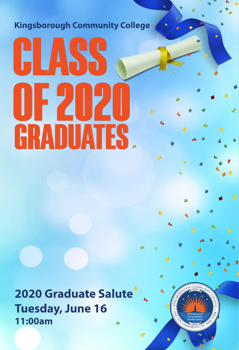**Kingsborough Community College** 

# GLASS 072020 **GRADUATES.**

**2020 Graduate Salute Tuesday, June 16** 11:00am



h

h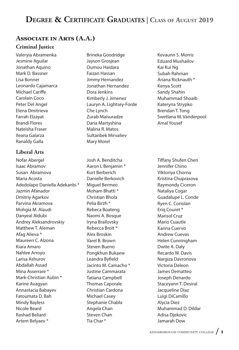# **DEGREE & CERTIFICATE GRADUATES | CLASS OF AUGUST 2019**

# **ASSOCIATE IN ARTS (A.A.)**

## **Criminal Justice**

Valeryia Abramenka Jesmine Aguilar Jonathan Aquino Mark D. Bassner Lisa Bonner Leonardo Cajamarca Michael Cariffe Carolain Coco Peter Del Angel Elena Dmitrieva Farrah Elzayat Brandi Flores Nateisha Fraser Ileana Galarza Ranaldy Galla

## **Liberal Arts**

Nofar Abergel Isaac Abramov Susan Abramova Maria Acosta Adedolapo Daniella Adekanbi \* Jazmin Afanador Dmitriy Agarkov Parvina Akramova Mohgia M. Alaudi Danyeal Aldubi Andrey Aleksandrovskiy Matthew T. Aleman Afag Alieva \* Maureen C. Alzona Kiara Amaro Nahlee Arroyo Larisa Ashurov Abdallah Assad Mina Asserrare \* Mark-Christian Aubin \* Karine Avagyan Annastacia Babayev Fatoumata D. Bah Mindy Bayless Nicole Beard Rashad Beliard Artem Belyaev \*

Brineka Goodridge Jayson Grosjean Oumou Haidara Faizan Hassan Jimmy Hernandez Jonathan Hernandez Dora Jenkins Kimberly J. Jimenez Lauryn A. Lightsey-Forde Che Lynch Zurab Maisuradze Daria Martyshina Malina R. Matos Sultanbek Mirvaliev Mary Morel

Josh A. Benditcha Aaron L Benjamin \* Kurt Berberich Danielle Berkovich Miguel Bermeo Moham Bhatti \* Christian Bhola Pelia Birzh \* Rebeca Boateng Naomi A. Bosque Iryna Brailovsky Rebecca Broit \* Alex Broskin Varel B. Brown Steven Bueno Pongkhun Bukaew Leandra Byfield Jacinto M. Camacho \* Justine Cammarata Tatiana Campbell Thomas Caporale Christian Cardona Michael Casey Stephanie Chabla Angela Chan Steven Chan Tia Char \*

Kevaunn S. Morris Eduard Mushailov Kai Kui Ng Subah Rahman Ariana Ricknauth \* Kenya Scott Sandy Shahin Muhammad Shoaib Kateryna Strypko Brendan T. Tong Swetlana M. Vanderpool Amal Yousef

Tiffany Shufen Chen Jennifer Chino Viktoriya Chorna Kristina Chuprasova Raymondy Ciceron Nataliya Cogar Guadalupe L. Conde Ryen C. Coriolan Eriq Couret \* Marisol Cruz Mario Cuautle Karina Cuervo Andrew Cuevas Helen Cunningham Dwite A. Daly Recardo W. Davis Nargiza Davronova Victoria Deleon James Dematteo Joseph Denardo Staceyann T. Desiral Jacqueline Diaz Luigi DiCamillo Alycia Diez Muhammad D. Dildar Adisa Djekovic Jamarah Dow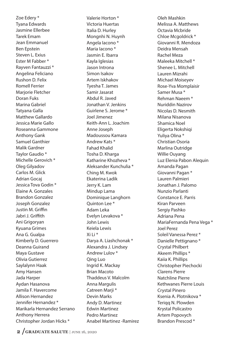Zoe Edery \* Tyana Edwards Jasmine Ellerbee Tarek Emam Jean Emmanuel Ben Epstein Steven L. Exius Ester M Fabber \* Rayven Fantauzzi \* Angelina Feliciano Rushon D. Felix Romell Ferrier Marjorie Fletcher Doran Fuks Marina Gabriel Tatyana Galla Matthew Gallardo Jessica Marie Gallo Roseanna Gammone Anthony Gank Samuel Ganthier Malik Gardner Taylor Gaudio \* Michelle Gerovich \* Oleg Gilyadov Carlos M. Glick Adrian Gocaj Jessica Tova Godin \* Elaine A. Gonzales Brandon Gonzalez Joseph Gonzalez Justin M. Griffin Jabri J. Griffith Ani Grigoryan Kyuana Grimes Ana G. Gualpa Kimberly D. Guerrero Deanna Guirand Maya Gustave Olivia Gutierrez Saylalynn Haak Amy Hansen Jada Harper Aydan Hasanova Jamila F. Havercome Allison Hernandez Jennifer Hernandez \* Marikarla Hernandez Serrano Anthony Herrera Christopher Jordan Hicks \*

Valerie Horton \* Victoria Huertas Italia D. Hurley Mongnhi N. Huynh Angela Iacono \* Maria Iacono \* Jasmin E. Ibarra Kayla Iglesias Jason Introna Simon Isakov Artem Iskhakov Tyesha T. James Samir Jasarat Abdul R. Javed Jonathan V. Jenkins Guirlene S. Jerome \* Joel Jimenez Keith-Ann L. Joachim Anne Joseph Madoussou Kamara Andrew Kats \* Fahad Khalid Tosha D. Kharga Katharine Khozheva \* Aleksander Kunchulia \* Ching M. Kwok Ekaterina Ladik Jerry K. Lam Mindup Lama Dominique Langhorn Quinton Lee \* Adam Leka Evelyn Levakova \* John Lewis Keiela Lewis Xi Li \* Darya A. Liashchonak \* Alexandra J. Lindsey Andrew Lulov \* Qing Luo Ingrid K. Mackay Brian Macoto Thaddeus V. Malcolm Anna Margulis Catreen Marji \* Devin Marks Andy D. Martinez Edwin Martinez Pedro Martinez Anabel Martinez -Ramirez

Oleh Mashkin Melissa A. Matthews Octavia Mcbride Chloe Mcgoldrick \* Giovanni R. Mendoza Deidra Mensah Rachel Meza Maleeka Mitchell \* Shenee L. Mitchell Lauren Mizrahi Michael Moiseyev Rose-Yva Momplaisir Samer Musa \* Rehman Naeem \* Nuriddin Nazirov Nicolas D. Nesmith Milana Nisanova Shamica Noel Eligerta Nokshiqi Yuliya Olina \* Christian Osoria Marlina Outridge Willie Ouyang Luz Elenia Pabon Alequin Amanda Pagan Giovanni Pagan \* Lauren Palmieri Jonathan J. Palomo Nunzio Parlanti Constance E. Parris Kiran Parveen Sergiy Pashko Adriana Pena MariaFernanda Pena Vega \* Joel Perez Soleil Vanessa Perez \* Danielle Pettignano \* Crystal Philbert Akeem Phillips \* Kaiia K. Phillips Christopher Piechocki Clarens Pierre Natchline Pierre Kethwanes Pierre Louis Crystal Pinero Ksenia A. Plotnikova \* Teriqq N. Plowden Krystal Policastro Artem Popovych Brandon Prescod \*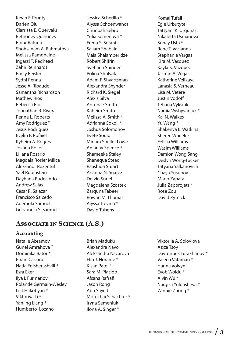Kevin F. Prunty Darien Qiu Clarrissa E. Quervalu Bethoney Quinones Rinor Rafuna Shohsanam A. Rahmatova Melissa Ramdhaine Ingassi T. Redhead Zahir Reinhardt Emily Reisler Sydni Renna Jesse A. Ribaudo Samantha Richardson Mathew Rios Rebecca Rios Johnathan R. Rivera Renne L. Roberts Amy Rodriguez \* Jesus Rodriguez Evelin F. Rofaiel Kyheim A. Rogers Joshua Rollock Liliana Rosario Magdala Rosier Milice Aleksandr Rozentul Yael Rubinstein Dayhana Rudecindo Andrew Salas Cesar R. Salazar Francisco Salcedo Ademola Samuel Gervonnci S. Samuels

Jessica Scherillo \* Alyssa Schoenwandt Chunoah Sebro Yulia Semenova \* Freda S. Serant Sallam Shabain Maia Shalamberidze Robert Shifrin Svetlana Shinder Polina Shulyak Adam F. Shvartsman Alexandra Shynder Richard K. Siegel Alexis Silva Antonae Smith Kaheim Smith Melissa A. Smith \* Adrianna Sokoli \* Joshua Solomonov Evete Souid Miriam Speller Lowe Anjanay Spence \* Shameeka Staley Shanequa Steed Raashida Stuart Arianna N. Suarez Delvin Suriel Magdalena Szostek Zarguna Tabeer Rowan M. Thomas Alyssa Trevino \* David Tubens

Komal Tufail Egle Urbutyte Tattyani K. Urquhart Nikaletta Usmanova Sunay Usta \* Rene T. Vacianna Stephanie Vargas Kira M. Vasquez Kayla K. Vazquez Jasmin A. Vega Katherine Velikaya Lanasia S. Verneau Lisa M. Vetere **Justin Vodoff** Tetiana Vyksiuk Nadiia Vyshyvaniuk \* Kai N. Walkes Yu Wang \* Shakenya E. Watkins Sheree Wheeler Felicia Williams Wasim Williams Damion Wong Sang Deslyn Wong-Tucker Tatyana Yalkanovich Chaya Yusupov Mario Zapata Julia Zaporojets \* Rose Zou David Zytnick

# **ASSOCIATE IN SCIENCE (A.S.)**

## **Accounting**

Natalie Abramov Gunel Amrahova \* Dominika Bator \* Efrain Casiano Natia Edisherashvili \* Esra Eker Ilya I. Furmanov Rolande Germain-Wesley Lilit Hakobyan \* Viktoriya Li \* Yanling Liang \* Humberto Lozano

Brian Maduku Alexandra Navo Aleksandra Nazarova Elio J. Norame \* Kisan Patel \* Sara M. Placido Afsana Rafra" Jason Rong Abu Sayed Mordchai Schachter \* Iryna Semeniuk Ilona A. Singer \*

Viktoriia A. Soloviova Aziza Tsoy Davronbek Turakhanov \* Valeria Vataman \* Hanna Volvyn Eyob Woldu \* Alvin Wu \* Nargiza Yuldasheva \* Winnie Zhong \*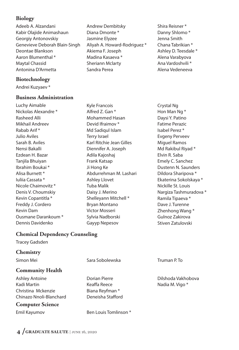## **Biology**

Adeeb A. Alzandani Kabir Olajide Animashaun Georgiy Antonovskiy Genevieve Deborah Blain-Singh Deontae Blankson Aaron Blumenthal \* Maytal Chassid Antonina D'Armetta

## **Biotechnology**

Andrei Kuzyaev \*

## **Business Administration**

Luchy Aimable Nickolas Alexandre \* Rasheed Alli Mikhail Andreev Rabab Arif \* Julio Aviles Sarah B. Aviles Nensi Bakalli Ezdean H. Bazar Tanjila Bhuiyan Ibrahim Boukai \* Alisa Burnett \* Iuliia Cassata \* Nicole Chaimovitz \* Denis V. Choumskiy Kevin Copantitla \* Freddy J. Cordero Kevin Dam Ousmane Darankoum \* Dennis Davidenko

## Andrew Dembitsky Diana Dmonte \* Jasmine Elyzee Aliyah A. Howard-Rodriguez \* Akiema F. Joseph Madina Kasaeva \* Sheriann Mclarty Sandra Perea

Shira Reisner \* Danny Shlomo \* Jenna Smith Chana Tabrikian \* Ashley D. Teesdale \* Alena Varabyova Ana Vardoshvili \* Alena Vedeneeva

Kyle Francois Alfred Z. Gan \* Mohammed Hasan Devid Ifraimov \* Md Sadiqul Islam Terry Israel Karl Ritchie Jean Gilles Diennifer A. Joseph Adila Kajoshaj Frank Katsap Ji Hong Ke Abdurrehman M. Lashari Ashley Llovet Tuba Malik Daisy J. Merino Shelleyann Mitchell \* Bryan Montano Victor Mosseri Sylvia Nadborski Gayyp Nepesov

Crystal Ng Hon Man Ng \* Daysi Y. Patino Fatime Perazic Isabel Perez \* Evgeny Perveev Miguel Ramos Md Rakibul Riyad \* Elvin R. Saba Emely C. Sanchez Dustenn N. Saunders Dildora Sharipova \* Ekaterina Sokolskaya \* Nickille St. Louis Nargiza Tashmuradova \* Ramila Tipaeva \* Dave J. Turenne Zhenhong Wang \* Gulnoz Zakirova Stiven Zatulovski

# **Chemical Dependency Counseling**

Tracey Gadsden

## **Chemistry**

# **Community Health**

Ashley Antoine Kadi Martin Christina Mckenzie Chinazo Nnoli-Blanchard

## **Computer Science**

Simon Mei Sara Sobolewska Martin Champing Mei Sara Sobolewska

Dorian Pierre Keaffa Reece Biana Reyfman \* Deneisha Stafford

Emil Kayumov Ben Louis Tomlinson \*

Dilshoda Vakhobova Nadia M. Vigo \*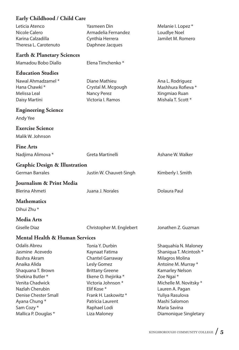# **Early Childhood / Child Care**

| Leticia Atenco<br>Nicole Calero<br>Karina Calzadilla<br>Theresa L. Carotenuto                                                                                                                                                       | <b>Yasmeen Din</b><br>Armadelia Fernandez<br>Cynthia Herrera<br>Daphnee Jacques                                                                                                                                              | Melanie I. Lopez *<br>Loudlye Noel<br>Jamilet M. Romero                                                                                                                                                                    |
|-------------------------------------------------------------------------------------------------------------------------------------------------------------------------------------------------------------------------------------|------------------------------------------------------------------------------------------------------------------------------------------------------------------------------------------------------------------------------|----------------------------------------------------------------------------------------------------------------------------------------------------------------------------------------------------------------------------|
| <b>Earth &amp; Planetary Sciences</b>                                                                                                                                                                                               |                                                                                                                                                                                                                              |                                                                                                                                                                                                                            |
| Mamadou Bobo Diallo                                                                                                                                                                                                                 | Elena Timchenko*                                                                                                                                                                                                             |                                                                                                                                                                                                                            |
| <b>Education Studies</b><br>Nawal Ahmadzamel*<br>Hana Chawki*<br>Melissa Leal<br>Daisy Martini                                                                                                                                      | Diane Mathieu<br>Crystal M. Mcgough<br><b>Nancy Perez</b><br>Victoria I. Ramos                                                                                                                                               | Ana L. Rodriguez<br>Mashhura Rofieva *<br>Xingmiao Ruan<br>Mishala T. Scott *                                                                                                                                              |
| <b>Engineering Science</b><br>Andy Yee                                                                                                                                                                                              |                                                                                                                                                                                                                              |                                                                                                                                                                                                                            |
| <b>Exercise Science</b><br>Malik W. Johnson                                                                                                                                                                                         |                                                                                                                                                                                                                              |                                                                                                                                                                                                                            |
| <b>Fine Arts</b>                                                                                                                                                                                                                    |                                                                                                                                                                                                                              |                                                                                                                                                                                                                            |
| Nadjima Alimova *                                                                                                                                                                                                                   | Greta Martinelli                                                                                                                                                                                                             | Ashane W. Walker                                                                                                                                                                                                           |
| <b>Graphic Design &amp; Illustration</b>                                                                                                                                                                                            |                                                                                                                                                                                                                              |                                                                                                                                                                                                                            |
| German Barrales                                                                                                                                                                                                                     | Justin W. Chauvet-Singh                                                                                                                                                                                                      | Kimberly I. Smith                                                                                                                                                                                                          |
| Journalism & Print Media                                                                                                                                                                                                            |                                                                                                                                                                                                                              |                                                                                                                                                                                                                            |
| <b>Blerina Ahmeti</b>                                                                                                                                                                                                               | Juana J. Norales                                                                                                                                                                                                             | Dolaura Paul                                                                                                                                                                                                               |
| <b>Mathematics</b><br>Dihui Zhu *                                                                                                                                                                                                   |                                                                                                                                                                                                                              |                                                                                                                                                                                                                            |
| Media Arts                                                                                                                                                                                                                          |                                                                                                                                                                                                                              |                                                                                                                                                                                                                            |
| <b>Giselle Diaz</b>                                                                                                                                                                                                                 | Christopher M. Englebert                                                                                                                                                                                                     | Jonathen Z. Guzman                                                                                                                                                                                                         |
| <b>Mental Health &amp; Human Services</b>                                                                                                                                                                                           |                                                                                                                                                                                                                              |                                                                                                                                                                                                                            |
| <b>Odalis Abreu</b><br>Jasmine Acevedo<br><b>Bushra Akram</b><br>Anaika Alida<br>Shaquana T. Brown<br>Shekina Butler <sup>*</sup><br>Venita Chadwick<br>Nazlah Cherubin<br><b>Denise Chester Small</b><br>Ayana Chung*<br>Sam Cozy* | Tonia Y. Durbin<br>Kaynaat Fatima<br><b>Chantel Garraway</b><br>Lesly Gomez<br><b>Brittany Greene</b><br>Ekene O. Ihejirika *<br>Victoria Johnson*<br>Elif Kose*<br>Frank H. Laskowitz *<br>Patricia Laurent<br>Raphael Lodi | Shaquahia N. Maloney<br>Shaniqua T. Mcintosh *<br>Milagros Molina<br>Antoine M. Murray *<br>Kamarley Nelson<br>Zoe Ngai *<br>Michelle M. Novitsky *<br>Lauren A. Pagan<br>Yuliya Rasulova<br>Mashi Salomon<br>Maria Savina |
| Mallica P. Douglas *                                                                                                                                                                                                                | Liza Maloney                                                                                                                                                                                                                 | Diamonique Singletary                                                                                                                                                                                                      |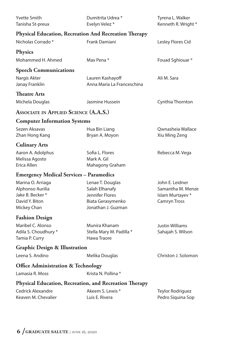| <b>Yvette Smith</b><br>Tanisha St-preux                                                   | Dumitrita Udrea *<br>Evelyn Velez*                                                               | Tyrena L. Walker<br>Kenneth R. Wright *                                         |
|-------------------------------------------------------------------------------------------|--------------------------------------------------------------------------------------------------|---------------------------------------------------------------------------------|
| <b>Physical Education, Recreation And Recreation Therapy</b>                              |                                                                                                  |                                                                                 |
| Nicholas Corrado <sup>*</sup>                                                             | Frank Damiani                                                                                    | Lesley Flores Cid                                                               |
| <b>Physics</b>                                                                            |                                                                                                  |                                                                                 |
| Mohammed H. Ahmed                                                                         | Max Pena*                                                                                        | Fouad Sghiouar*                                                                 |
| <b>Speech Communications</b>                                                              |                                                                                                  |                                                                                 |
| Nargis Akter<br>Janay Franklin                                                            | Lauren Kashayoff<br>Anna Maria La Franceschina                                                   | Ali M. Sara                                                                     |
| <b>Theatre Arts</b>                                                                       |                                                                                                  |                                                                                 |
| Michela Douglas                                                                           | Jasmine Hussein                                                                                  | Cynthia Thornton                                                                |
| <b>ASSOCIATE IN APPLIED SCIENCE (A.A.S.)</b>                                              |                                                                                                  |                                                                                 |
| <b>Computer Information Systems</b>                                                       |                                                                                                  |                                                                                 |
| Sezen Aksavas<br>Zhan Hong Kang                                                           | Hua Bin Liang<br>Bryan A. Moyon                                                                  | Qwnasheia Wallace<br>Xiu Ming Zeng                                              |
| <b>Culinary Arts</b>                                                                      |                                                                                                  |                                                                                 |
| Aaron A. Adolphus<br>Melissa Agosto<br>Erica Allen                                        | Sofia L. Flores<br>Mark A. Gil<br>Mahagony Graham                                                | Rebecca M. Vega                                                                 |
| <b>Emergency Medical Services – Paramedics</b>                                            |                                                                                                  |                                                                                 |
| Marina O. Arriaga<br>Alphonso Aurilia<br>Jake B. Becker*<br>David Y. Biton<br>Mickey Chan | Lenae T. Douglas<br>Salah Elhanafy<br>Jennifer Flores<br>Biata Gerasymenko<br>Jonathan J. Guzman | John E. Leidner<br>Samantha M. Menze<br>Islam Murtayev *<br><b>Camryn Tross</b> |
| <b>Fashion Design</b>                                                                     |                                                                                                  |                                                                                 |
| Maribel C. Alonso<br>Adila S. Choudhury *<br>Tamia P. Curry                               | Munira Khanam<br>Stella Mary M. Padilla *<br>Hawa Traore                                         | <b>Justin Williams</b><br>Sahajah S. Wilson                                     |
| <b>Graphic Design &amp; Illustration</b>                                                  |                                                                                                  |                                                                                 |
| Leena S. Andino                                                                           | Melika Douglas                                                                                   | Christon J. Solomon                                                             |
| <b>Office Administration &amp; Technology</b>                                             |                                                                                                  |                                                                                 |
| Lamasia R. Moss                                                                           | Krista N. Pollina *                                                                              |                                                                                 |
| Physical Education, Recreation, and Recreation Therapy                                    |                                                                                                  |                                                                                 |
| <b>Cedrick Alexandre</b><br>Keaven M. Chevalier                                           | Akeem S. Lewis *<br>Luis E. Rivera                                                               | Teylor Rodriguez<br>Pedro Siquina Sop                                           |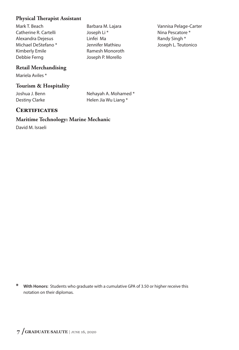## **Physical Therapist Assistant**

Mark T. Beach Catherine R. Cartelli Alexandra Dejesus Michael DeStefano \* Kimberly Emile Debbie Ferng

Barbara M. Lajara Joseph Li \* Linfei Ma Jennifer Mathieu Ramesh Monoroth Joseph P. Morello

Vannisa Pelage-Carter Nina Pescatore \* Randy Singh \* Joseph L. Teutonico

# **Retail Merchandising**

Mariela Aviles \*

## **Tourism & Hospitality**

Joshua J. Benn Destiny Clarke

Nehayah A. Mohamed \* Helen Jia Wu Liang \*

## **CERTIFICATES**

#### **Maritime Technology: Marine Mechanic**

David M. Israeli

**\* With Honors:** Students who graduate with a cumulative GPA of 3.50 or higher receive this notation on their diplomas.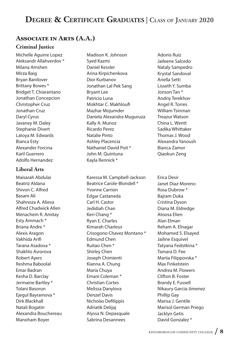# **DEGREE & CERTIFICATE GRADUATES | CLASS OF JANUARY 2020**

# **ASSOCIATE IN ARTS (A.A.)**

## **Criminal Justice**

Michelle Aguirre Lopez Aleksandr Allahverdov \* Milana Amshen Mirza Baig Bryan Banilover Brittany Bowes \* Bridget T. Chiarantano Jonathan Concepcion Christopher Cruz Jonathan Cruz Daryl Cyrus Javaney M. Daley Stephanie Divert Latoya M. Edwards Bianca Esty Alexander Forcina Karil Guerrero Adolfo Hernandez

## **Liberal Arts**

Maisarah Abdulai Beatriz Aldana Shivon C. Alfred Basam Ali Shahnoza A. Alieva Alfred Chadwick Allen Menachem R. Amitay Esty Ammach \* Briana Andre \* Alexis Aragon Vakhida Arifi Tarana Asadova \* Shakhlo Asrorova Robert Ayers Reshma Baboolal Emar Badran Kesha D. Barclay Jermaine Bartley \* Tolani Basorun Ejegul Bayramova \* Dirk Blackhall Natali Bogatin Alexandra Bouchereau Manoham Boyer

Madison K. Johnson Syed Kazmi Daniel Kessler Arina Kirpichenkova Dior Kurbanov Jonathan Lal Pek Sang Bryant Lee Patricio Luna Mokhtar C. Makhloufi Mazhar Mojumder Daniela Alexandra Muguruza Kally A. Munoz Ricardo Perez Natalie Pinto Ashley Placencia Nathaniel David Poit \* John M. Quintuna Kayla Rennick \*

Karessa M. Campbell-Jackson Beatrice Carole-Blondell \* Yvonne Carrion Edgar Castaneda Carl H. Castor Jedidiah Chan Keri Chang \* Ryan E. Charles Kimarah Charleus Crisogono Chavez Montano \* Edmund Chen Ruitao Chen \* Shirley Chen Joseph Chimienti Kianna A. Chung Maria Chuya Emani Coleman \* Christian Cortes Melissa Danylova Denzel Davis Nicholas Defilippis Adriatik Delijaj Alyssa N. Depasquale Sabrina Desannees

Adonis Ruiz Jaileene Salcedo Nataly Sampedro Krystal Sandoval Ariella Setti Lisseth Y. Sumba Jonson Tan \* Andriy Terekhov Angel R. Torres William Tsinman Treazur Watson China L. Wentt Sadika Whittaker Thomas J. Wood Alexandra Yanoush Bianca Zamor Qiaokun Zeng

Erica Desir Janet Diaz-Moreno Rosa Dubrow \* Bajram Duka Cristina Dyson Diana M. Eldredge Atoosa Elien Alan Elman Reham A. Elnagar Mohamed S. Elsayed Jailine Esquivel Tatyana Fedotkina \* Tamara D. Fee Mariia Filippovska \* Max Finkelstein Andrea M. Flowers Clifton B. Foster Brandy E. Fussell Nikaury Garcia-Jimenez Phillip Gay Marisa J. Gentile Marisol German Priego Jacklyn Getis David Gonzalez \*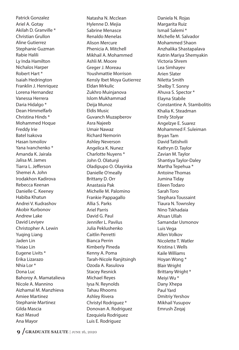Patrick Gonzalez Ariel A. Gotay Akilah D. Granville \* Christian Grullon Aline Gutierrez Stephanie Guzman Rabie Halili Ly Inda Hamilton Nichalos Harper Robert Hart \* Isaiah Hedrington Franklin J. Henriquez Lorena Hernandez Vanessa Herrera Daria Hidalgo \* Dean Himmelfarb Christina Hinds \* Mohammed Hoque Freddy Irie Batel Isakova Hasan Ismoilov Yana Ivanchenko \* Amanda K. Jairala Jalisa M. James Tiarra L. Jefferson Shemei A. John Irodakhon Kadirova Rebecca Keenan Danielle C. Keeney Habiba Khatun Andrei V. Kudrashov Akobir Kurbonov Andrew Lake David Leviyev Christopher A. Lewin Yuqing Liang Jaden Lin Yixiao Lin Eugene Livits \* Erika Lizarazo Nhia Lor \* Dona Luc Bahoroy A. Mamatalieva Nicole A. Mannino Aizhamal M. Manzhieva Amiee Martinez Stephanie Martinez Gilda Mascia Kazi Masud Ana Mayor

Natasha N. Mcclean Hylenne D. Mejia Sabrine Menasce Renaldo Menelas Alison Mercure Phenicia A. Mitchell Mikhail A. Mohammed Ashli M. Moore Greger J. Moreau Youshmattie Morrison Kensly Ibet Moya Gutierrez Eldan Mrkulic Zukhro Muinjanova Islom Mukhammad Deija Munoz Eldis Music Guvanch Muzapberov Asra Najeeb Umair Nawaz Richard Nemorin Ashley Neverson Angelica K. Nunez Charlotte Nuyens \* John O. Olatunji Oladipupo O. Olayinka Danielle O'meally Brittany D. Orr Anastasia Pak Michelle M. Palomino Frankie Pappagallo Allia S. Parks Ariel Parris David G. Paul Jennifer L. Pavilus Julia Peklushenko Caitlin Perretti Bianca Perrin Kimberly Pineda Kenny A. Poma Tarah-Nicole Ranjitsingh Ozoda A. Rasulova Stacey Resnick Michael Reyes Iysa N. Reynolds Tahau Rhooms Ashley Rivera Christyl Rodriguez \* Donovan A. Rodriguez Ezequiela Rodriguez Luis E. Rodriguez

Daniela N. Rojas Margarita Ruiz Ismail Salemi \* Michelle M. Salvador Mohammed Shaon Anzhalika Shastapalava Katrin Mariya Shemyakin Victoria Shrem Lea Simhayev Arien Slater Niletta Smith Shelby T. Sonny Ahuva S. Spector \* Elayna Stabile Constantine A. Stambolitis Khalia K. Steadman Emily Stolyar Angelzye E. Suarez Mohammed F. Suleiman Bryan Tam David Tatishvili Kathryn D. Taylor Zavian M. Taylor Shantiya Taylor-Daley Martha Tepehua \* Antoine Thomas Jumina Tiday Eileen Todaro Sarah Toro Stephara Toussaint Tiaura N. Townsley Nino Tskhadaia Ahsan Ullah Samandar Usmonov Luis Vega Allen Volkov Nicolette T. Watler Kristina I. Wells Kaile Williams Hoyan Wong \* Blair Wright Brittany Wright \* Meiyi Wu \* Dany Xhepa Paul Yard Dmitriy Yershov Mikhail Yusupov Emrush Zeqaj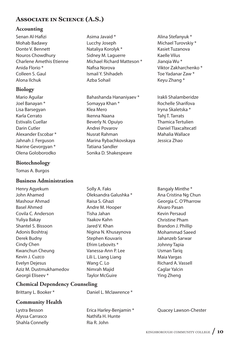# **ASSOCIATE IN SCIENCE (A.S.)**

Asima Javaid \* Lucchy Joseph Nataliya Korolyk \* Sidney M. Laguerre

Nafisa Norova Ismail Y. Shihadeh Azba Sohail

Somayya Khan \* Klea Mero Ikenna Naana Beverly N. Opuiyo Andrei Povarov Nusrat Rahman

Tatiana Sandler

Solly A. Faks

Raisa S. Ghazi Andre M. Hooper Tisha Jahan Yaakov Kahn Jared V. Khan

Michael Richard Matteson \*

Bahashanda Hananiyaev \*

Marina Rybachkovskaya

Sonika D. Shakespeare

Oleksandra Galushka \*

Nigina N. Khusaynova Stephen Kouvaris Efrim Lebovits \* Vanessa-Ann P. Lee Lili L. Liang Liang Wang C. Lo Nimrah Majid Taylor McGuire

## **Accounting**

Senan Al-Hafizi Mohab Badawy Donte V. Bennett Nouros Chowdhury Charlene Amethis Etienne Anida Florio \* Colleen S. Gaul Alona Ilchuk

# **Biology**

Mario Aguilar Joel Banayan \* Lisa Barsegyan Karla Cerrato Estivalis Cuellar Darin Cutler Alexander Escobar \* Jahnah J. Ferguson Narine Gevorgyan \* Olena Goloborodko

# **Biotechnology**

Tomas A. Burgos

# **Business Administration**

Henry Agyekum John Ahamed Mashour Ahmad Basel Ahmed Covila C. Anderson Yuliya Bakay Shantel S. Bissoon Adonis Boshtraj Derek Budny Cindy Chen Kwanchun Cheung Kevin J. Cuzco Evelyn Dejesus Aziz M. Dustmukhamedov Georgii Eliseev<sup>\*</sup>

# **Chemical Dependency Counseling**

Brittany L. Booker \* The Baniel L. Mclawrence \*

# **Community Health**

Lystra Besson Alyssa Carrasco Shahla Connelly

Erica Harley-Benjamin \* Nathifa H. Hunte Ria R. John

Alina Stefanyuk \* Michael Turovskiy \* Kasiet Tuzanova Kaelle Vilus Jianqia Wu \* Viktor Zakharchenko \* Toe Yadanar Zaw \* Keyu Zhang \*

Irakli Shalamberidze Rochelle Sharifova Iryna Skaletska \* Tahi T. Tarrats Thamica Tertulien Daniel Tlaxcaltecatl Mahalia Wallace Jessica Zhao

Bangaly Minthe \* Ana Cristina Ng Chun Georgia C. O'Pharrow Alvaro Pasan Kevin Persaud Christine Pham Brandon J. Phillip Mohammad Saeed Jahanzeb Sarwar Johnny Tapia Usman Tariq Maia Vargas Richard A. Vassell Caglar Yalcin Ying Zheng

Quacey Lawson-Chester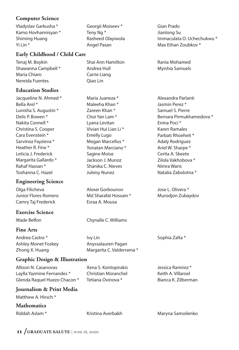# **Computer Science**

Vladyslav Garkusha \* Kamo Hovhannisyan \* Shiming Huang Yi Lin \*

## **Early Childhood / Child Care**

Tenaj M. Boykin Shawanna Campbell \* Maria Chiaro Nereida Fuentes

## **Education Studies**

Jacqueline N. Ahmed \* Bella Arel \* Lunisha S. Augustin \* Delis P. Bowen \* Nakita Connell \* Christina S. Cooper Cara Evenstein \* Sarvinoz Fayzieva \* Heather R. Fine \* Leticia J. Frederick Margarita Gallardo \* Rahaf Hassan \* Toshanna C. Hazel

## **Engineering Science**

Olga Filicheva Junior Flores Romero Camry Taj Frederick

## **Exercise Science**

Wade Belfon Chynalle C. Williams

## **Fine Arts**

Andrea Castro \* Ashley Monet Foskey Zhong X. Huang

Ivy Lin Anyssalauren Pagan Margarita C. Valderrama \*

Alexei Gorbounov Md Sharafat Hossain \*

Esraa A. Mousa

Georgii Moiseev \*

Rasheed Olayiwola

Shai Ann Hamilton

Teny Ng \*

Angel Pasan

Andrea Hull Carrie Liang Qiao Lin

Maria Juaneza \* Maleeha Khan \* Zareen Khan \* Choi Yan Lam \* Lyana Levitan Vivian Hui Lian Li \* Emelly Lugo Megan Marcellus \* Yonatan Marciano \* Sagine Moise Jackson J. Munoz Shanika C. Nieves Juleisy Nunez

# **Graphic Design & Illustration**

Allison N. Casanovas Laylla Yazmine Fernandes \* Glenda Raquel Huezo Chacon \*

Xena S. Kontopirakis Christian Moranchel Tetiana Ovinova \*

Jessica Ramirez \* Keith A. Villaroel Bianca K. Zilberman

Sophia Zalta \*

## **Journalism & Print Media**

Matthew A. Hirsch \*

## **Mathematics**

Gian Prado Jianlong Su Immaculata O. Uchechukwu \* Max Ethan Zoubkov \*

Rania Mohamed Myishia Samuels

Alexandra Parlanti Jasmin Perez \* Samuel S. Pierre Bernara Pirmukhamedova \* Enina Poci \* Karen Ramales Parbati Rhoeheit \* Adaly Rodriguez Ariel W. Sharpe \* Cerita A. Skeete Zilola Vakhobova \* Nimra Waris Natalia Zabolotna \*

Jose L. Olivera \* Murodjon Zubaydov

Riddah Aslam \* The Kristina Averbakh Maryna Samoilenko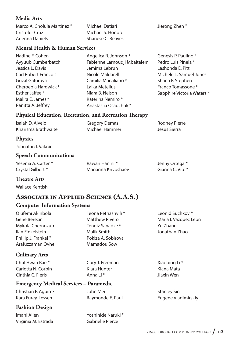## **Media Arts**

| Marco A. Cholula Martinez * | Michael Datiari   | Jierong Zhen * |
|-----------------------------|-------------------|----------------|
| Cristofer Cruz              | Michael S. Honore |                |
| Arienna Daniels             | Shanese C. Reaves |                |

## **Mental Health & Human Services**

- Nadine F. Cohen Ayyuub Cumberbatch Jessica L. Davis Carl Robert Francois Guzal Gafurova Cheroebia Hardwick \* Esther Jaffee \* Malira E. James \* Ranitta A. Jeffrey
- Angelica R. Johnson \* Fabienne Larnoudji Mbaitelem Jemima Lebrun Nicole Maldarelli Camilia Marziliano \* Laika Metellus Niara B. Nelson Katerina Nemiro \* Anastasiia Osadchuk \*
- Genesis P. Paulino \* Pedro Luis Pinela \* Lashonda E. Pitt Michele L. Samuel Jones Shana F. Stephen Franco Tomassone \* Sapphire Victoria Waters \*

## **Physical Education, Recreation, and Recreation Therapy**

| Isaiah D. Alvelo    | <b>Gregory Demas</b> | <b>Rodney Pierre</b> |
|---------------------|----------------------|----------------------|
| Kharisma Brathwaite | Michael Hammer       | Jesus Sierra         |

## **Physics**

Johnatan I. Vaknin

## **Speech Communications**

| Yesenia A. Carter * | Rawan Hanini *      | Jenny Ortega *   |
|---------------------|---------------------|------------------|
| Crystal Gilbert *   | Marianna Krivoshaev | Gianna C. Vite * |

## **Theatre Arts**

Wallace Kentish

# **ASSOCIATE IN APPLIED SCIENCE (A.A.S.)**

## **Computer Information Systems**

| Olufemi Akinbola     |  |
|----------------------|--|
| Gene Berezin         |  |
| Mykola Chernozub     |  |
| Ilan Finkelstein     |  |
| Phillip J. Frankel * |  |
| Arafuzzaman Ovhe     |  |

## **Culinary Arts**

Chul Hwan Bae \* Carlotta N. Corbin Cinthia C. Fleris

## Teona Petriashvili \* Matthew Rivero Tengiz Sanadze \* Malik Smith Pokiza A. Sobirova Mamadou Sow

Cory J. Freeman Kiara Hunter Anna Li \*

## **Emergency Medical Services – Paramedic**

Christian F. Aguirre Kara Furey-Lessen

John Mei Raymonde E. Paul

# **Fashion Design**

Imani Allen Virginia M. Estrada Yoshihide Naruki \* Gabrielle Pierce

Leonid Suchkov \* Maria I. Vazquez Leon Yu Zhang Jonathan Zhao

Xiaobing Li \* Kiana Mata Jiaxin Wen

Stanley Sin Eugene Vladimirskiy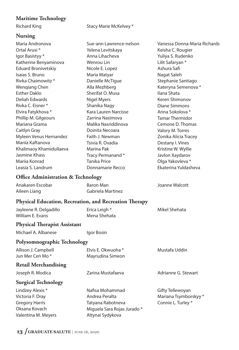# **Maritime Technology**

## **Nursing**

Richard King **Stacy Marie McKelvey** \*

| <b>Nursing</b>                                                |                             |                              |
|---------------------------------------------------------------|-----------------------------|------------------------------|
| Maria Andronova                                               | Sue-ann Lawrence-nelson     | Vanessa Donna-Maria Richards |
| Ortal Arusi <sup>*</sup>                                      | Yelena Levitskaya           | Keisha C. Rougier            |
| Igor Basistyy *                                               | Anna Lihacheva              | Yuliya S. Rudenko            |
| Katherine Benyaminova                                         | Wenrou Lin                  | Lilit Safaryan *             |
| <b>Eduard Bronivetskiy</b>                                    | Nicole E. Lopez             | Ashura Safi                  |
| Isaias S. Bruno                                               | Maria Matyar                | Nagat Saleh                  |
| Rivka Chaimowitz *                                            | Danielle McTigue            | Stephanie Santiago           |
| <b>Wenqiang Chen</b>                                          | Alla Mezhberg               | Kateryna Semenova *          |
| <b>Esther Daklo</b>                                           | Sherifat O. Musa            | Ilana Shata                  |
| <b>Deliah Edwards</b>                                         | <b>Nigel Myers</b>          | Keren Shimonov               |
| Rivka C. Eisner *                                             | Shanika Nagy                | <b>Diane Simmons</b>         |
| Elvira Fatykhova *                                            | Kara Lauren Narcisse        | Anna Sokolova *              |
| Phillip M. Gilgeours                                          | Zarrina Nasimova            | <b>Tamar Thermidor</b>       |
| Mariana Grama                                                 | Malika Nasriddinova         | Cemone D. Thomas             |
| Caitlyn Gray                                                  | Doinita Necoara             | Valory M. Torres             |
| Myleen Venus Hernandez                                        | Faith J. Newman             | Zonika Alicia Tracey         |
| Mariia Kaftanova                                              | Tsivia R. Ovadia            | Destany I. Vines             |
| Khalimaoy Khamidullaeva                                       | Marina Pak                  | Kristine W. Wyllie           |
| Jasmine Khass                                                 | Tracy Permanand*            | Javlon Xaydarov              |
| Mariia Konrad                                                 | <b>Tanika Price</b>         | Olga Yakovleva *             |
| Leasia S. Landrum                                             | Donnamarie Recco            | Ekaterina Yuldasheva         |
| <b>Office Administration &amp; Technology</b>                 |                             |                              |
| Anakaren Escobar                                              | <b>Baron Man</b>            | Joanne Walcott               |
| Aileen Liang                                                  | Gabriela Martinez           |                              |
| <b>Physical Education, Recreation, and Recreation Therapy</b> |                             |                              |
| Jayleene R. Delgadillo                                        | Erica Leigh *               | Mikel Shehata                |
| William E. Evans                                              | Mena Shehata                |                              |
| <b>Physical Therapist Assistant</b>                           |                             |                              |
| Michael A. Albanese                                           | Igor Bosin                  |                              |
| Polysomnographic Technology                                   |                             |                              |
| Allison J. Campbell                                           | Elvis E. Okwuoha *          | Mustafa Uddin                |
| Jun Mer Cen Mo <sup>*</sup>                                   | Mayrudina Simeon            |                              |
| <b>Retail Merchandising</b>                                   |                             |                              |
| Joseph R. Modica                                              | Zarina Mustafaeva           | Adrianne G. Stewart          |
| <b>Surgical Technology</b>                                    |                             |                              |
| Lindzey Alexis*                                               | Nafisa Mohammad             | Gifty Tellewoyan             |
| Victoria F. Dray                                              | Andrea Peralta              | Mariana Tsymborskyy*         |
| <b>Gregory Harris</b>                                         | Tatyana Rabotneva           | Connie L. Turley *           |
| Oksana Kovach                                                 | Miguela Sara Rojas Jurado * |                              |
| Valentina M. Meyers                                           | Altynai Sydykova            |                              |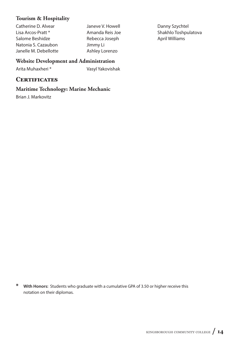## **Tourism & Hospitality**

Catherine D. Alvear Lisa Arcos-Pratt \* Salome Beshidze Natonia S. Cazaubon Janelle M. Debellotte Janeve V. Howell Amanda Reis Joe Rebecca Joseph Jimmy Li Ashley Lorenzo

Danny Szychtel Shakhlo Toshpulatova April Williams

# **Website Development and Administration**

Arita Muhaxheri \* Vasyl Yakovishak

# **CERTIFICATES**

# **Maritime Technology: Marine Mechanic**

Brian J. Markovitz

**\* With Honors:** Students who graduate with a cumulative GPA of 3.50 or higher receive this notation on their diplomas.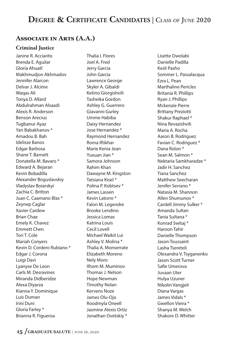# **DEGREE & CERTIFICATE CANDIDATES | CLASS OF JUNE 2020**

# **ASSOCIATE IN ARTS (A.A.)**

## **Criminal Justice**

Janine R. Acciarito Brenda E. Aguilar Gloria Ahuatl Makhmudjon Akhmadov Jennifer Alarcon Delvar J. Alcime Waqas Ali Tonya D. Allard Abdulrahman Alsaadi Alexis R. Anderson Benson Arecius Tugbanur Ayaz Yan Babakhanov \* Amadou B. Bah Idelisse Banos Edgar Barbosa Shane T. Barnett Donatella M. Bavaro \* Edward A. Bejaran Kevin Bobadilla Alexander Boguslavskiy Vladyslav Boiarskyi Zachia C. Britton Juan C. Caamano Blas \* Zeynep Caglar Xavier Cardew Brian Chae Emely K. Chavez Emmett Chen Tori T. Cole Mariah Conyers Kevin D. Cordero Rubiano \* Edgar J. Corona Luigi Davi Lyanyse De Leon Carls M. Desravines Miranda Didberidze Alexa Diyarza Kianna Y. Dominique Luis Duman Irini Duni Gloria Farley \* Brianna R. Figueroa

Thalia I. Flores Joel A. Fred Jerry Garcia John Garcia Lawrence George Skyler A. Gibaldi Ketino Giorgishvili Tasheika Gordon Ashley G. Guerrero Giavanni Gurley Umme Habiba Daisy Hernandez Jose Hernandez \* Raymond Hernandez Roma Iftikhar Marie Kenia Jean Yuxuan Jian \* Samora Johnson Rahim Khan Dawayne M. Kingston Tatsiana Kisel \* Polina P. Kobtsev \* James Lassen Kevin Latorre \* Falon M. Legendre Brooke Lendino Jessica Lomas Katrina Louis Cecil Lovell Michael Waikit Lui Ashley V. Molina \* Thalia A. Monserrate Elizabeth Moreno Nely Moro Ilhom M. Muminov Thomas J. Nelson Hope Newman Timothy Nolan Kervens Noze James Olu-Ojo Roodmyla Oneell Jasmine Alexis Ortiz Jonathan Ovetskiy \*

Lisette Owolabi Danielle Padilla Kesli Pasho Sommer L. Passalacqua Ezra L. Pean Marthaline Pericles Britania R. Phillips Ryan J. Phillips Mckenzie Pierre Brittany Preziotti Shakur Raphael \* Nina Revazishvili Maria A. Rocha Aaron B. Rodriguez Favian C. Rodriguez \* Dana Rolon \* Sean M. Salmon \* Nektaria Samkharadze \* Jadir H. Sanchez Tiana Sanchez Matthew Seecharan Jenifer Serrano \* Natasia M. Shannon Allen Shumunov \* Cardell Jimmy Sulker \* Amanda Sultan Tania Sultana \* Konrad Switaj \* Haroon Tahir Danielle Thompson Jason Toussaint Lasha Tsereteli Olexandra V. Tsyganenko Jason Scott Turner Safie Umerova Juvaan Uter Hulya Uzuner Nikolin Vangjeli Diana Vargas James Vidals \* Gwellon Vieira \* Shanya M. Welch Shakore D. Whitter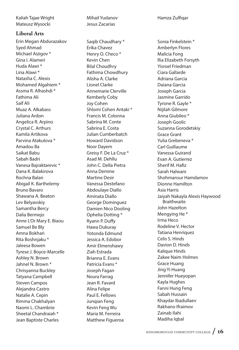Kaliah Tajae Wright Mateusz Wysocki

## **Liberal Arts**

Erin Megan Abdurazakov Syed Ahmad Michael Aizigov \* Gina I. Alameri Huda Alawi \* Lina Alawi \* Natasha C. Alexis Mohamed Algahiem \* Assma R. Alhashdi \* Fathima Ali Saif Ali Muaz A. Alkabass Juliana Ardon Angelica R. Arpino Crystal C. Arthurs Kamila Artikova Parvina Atakulova \* Amadou Ba Saikat Babu Sabah Badri Vanesa Bajraktarevic \* Dana K. Balakirova Rochna Balan Abigail K. Barthelemy Bruno Bavaro Shawana A. Beaton Lev Belyavskiy Samantha Bercy Dalia Bermejo Anne L'Or Mary E. Biaou Samuel Be Bly Amna Bokhari Rita Boshnjaku \* Jaleesa Bowen Tyrese J. Boyce-Marcelle Ashley N. Brown Jahnel N. Brown \* Chrisyanna Buckley Tatyana Campbell Steven Campos Alejandra Castro Natalie A. Cepin Rimma Chakhalyan Naomi L. Chambrie Sheetal Chandraiah \* Jean Baptiste Charles

Mihail Yudanov Jesus Zacarias

Saqib Chaudhary \* Erika Chavez Henry O. Checo \* Kevin Chen Bilal Choudhry Fathima Chowdhury Alisha A. Clarke Lionel Clarke Annemarie Clerville Kemberly Coby Joy Cohen Shlomi Cohen Antaki \* Francis M. Colonna Sabrina M. Conte Sabrina E. Costa Julian Cumberbatch Howard Davidson Noor Dayem Greisy F. De La Cruz \* Asad M. Dehllu John C. Della Pietra Anna Demine Martine Desir Vanessa Destefano Abdoulaye Diallo Aminata Diallo George Dominguez Damien Nico Dooling Ophelia Dotting \* Ryann P. Duffy Hawa Dukuray Yotonda Edmund Jessica A. Edobor Amir Elmenshawy Ziah Estrada Brianna E. Evans Patricia Evans \* Joseph Fagan Noura Farrag Jean R. Favard Alina Felipe Paul E. Fellows Junqian Feng Kevin Feng Wu Maria M. Ferreira Matthew Figueroa

Sonia Finkelstein \* Amberlyn Flores Malicia Fong Ria Elizabeth Forsyth Yisroel Friedman Ciara Gallarde Adriana Garcia Daiana Garcia Joseph Garcia Jasmine Garrido Tyrone R. Gayle \* Nijilah Gilmore Anna Giubileo \* Joseph Goolic Suzanna Gorodetskiy Grace Grant Yulia Grebeneva \* Carl Guillaume Vanessa Guirand Evan A. Gutierrez Sherif M. Hafiz Sarah Halwani Shohmansur Hamdamov Dionne Hamilton Asia Harris Jaiyah Nakayla Alexis Haywood **Braithwaite** John Hazelton Mengying He \* Irma Heco Rodeline V. Hector Tatiana Henriquez Celis S. Hinds Davion D. Hinds Kalique Hinds Zakee Naim Holmes Grace Huang Jing Yi Huang Jennifer Hueyopan Kayla Hughes Fanni Hung Feng Sabah Hussain Khaydar Ibadullaev Rakhano Ifraimov Zainab Ilahi Madiha Iqbal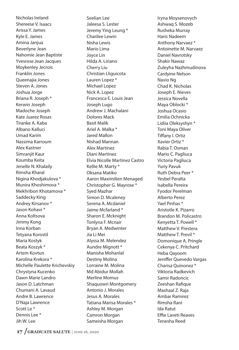Nicholas Ireland Shereese V. Isaacs Arissa Y. James Kyle E. James Amina Janjua Beverlyne Jean Nahomie Jean Baptiste Yvesrose Jean Jacques Moykenley Jecrois Franklin Jones Queenajia Jones Steven A. Jones Joshua Jorge Briana R. Joseph \* Kerwin Joseph Madoche Joseph Kate Juarez Rosas Tiranke A. Kaba Albano Kalluci Umad Karim Nassima Karroum Alex Kastner Simraniit Kaur Koumba Keita Jenelle N. Khalaily Rimsha Kharal Nigina Khodjakulova \* Munira Khoshimova \* Mekhribon Khotamova \* Saddecky King Andrey Kirsanov \* Jason Kohavi \* Anna Koltsova Jimmy Kong Inna Korban Tetyana Korostil Maria Kostyk Beata Koszyk \* Artem Kovtun Karolina Krekora \* Michelle Paulette Krichevskiy Chrystyna Kucenko Dawn Marie Landro Jason D. Latchman Chumani A. Lavaud Andre B. Lawrence D'Naja Lawrence Scott Le \* Dennis Lee \* Jih W. Lee

Seelian Lee Jaleesa S. Lester Jeremy Ying Leung \* Charilee Lewin Nisha Lewis Mario Lima Joyce Lin Hilda A. Liriano Cherry Liu Christian Lliguicota Lauren Lopez \* Michael Lopez Nick A. Lopez Francesca E. Louis Jean Joseph Lugo Andrew J. Machalani Dolores Mack Basit Malik Ariel A. Malka \* Jared Mallon Nishad Mannan Alex Martinez Diani Martinez Elvia Nicolle Martinez Castro Kellie M. Marty \* Oksana Matiko Aaron Maximilien Menaged Christopher G. Mayrose \* Syed Mazhar Simon D. Mcaleney Serena A. Mcdaniel Jaime Mcfarland \* Sharon E. Mcknight Tonlyna F. Mcnair Bryan A. Medwinter Jia Li Mei Alyssa M. Melendez Aundre Mignott \* Manisha Mohanlal Destiny Molina Lorraine M. Molina Md Abidur Mollah Merline Momus Shaquowri Montgomery Antonio J. Morales Jesus A. Morales Tatiana Marisa Morales \* Ashley M. Morgan Camron Morgan Sameisha Morgan

Iryna Moysenovych Ashwaq S. Mozeb Rusheka Murray Haris Nadeem Anthony Narvaez \* Antoinette M. Narvaez Daniel Navrotsky Shakir Nawaz Zuleyha Nazhmudinova Cardyine Nelson Navio Ng Chad K. Nicholas Joseph E. Nieves Jessica Novella Maya Oblocki \* Joshua Ocasio Emilia Ochnicka Lidiia Oleksyshyn \* Toni Maya Oliver Tiffany I. Ortiz Xavier Ortiz \* Rabia T. Osman Mario C. Pagliuca Victoria Pagliuca Yuriy Pavuk Ruth Debra Peer \* Yesbel Peralta Isabella Pereira Fyodor Perelman Alberto Perez Yael Pinhas \* Aristotle K. Pizarro Brandon M. Policastro Kenyetta T. Powell \* Matthew V. Prestera Matthew T. Previl \* Domonique A. Pringle Cekenya C. Pritchard Heba Qayoom Jeniffer Quevedo Vargas Charisa Quinonez \* Viktoria Radkevich Samir Radoncic Zeeshan Rafique Mashaal Z. Raja Ambar Ramirez Rimsha Rani Ida Ratut Effie Laveti Reaves Tenesha Reed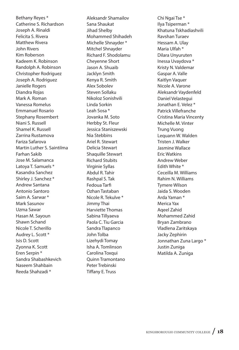Bethany Reyes \* Catherine S. Richardson Joseph A. Rinaldi Felicita S. Rivera Matthew Rivera John Rivers Kim Roberson Kadeem K. Robinson Randolph A. Robinson Christopher Rodriguez Joseph A. Rodriguez Janielle Rogers Diandra Rojas Mark A. Roman Vanessa Romelus Emmanuel Rosario Stephany Rosembert Niani S. Russell Shamel K. Russell Zarrina Rustamova Fariza Safarova Martin Luther S. Saintilma Farhan Sakib Jose M. Salamanca Latoya T. Samuels \* Kasandra Sanchez Shirley J. Sanchez \* Andrew Santana Antonio Santoro Saim A. Sarwar \* Mark Sasunov Uzma Sawar Hasan M. Sayoun Shawn Schand Nicole T. Scherillo Audrey L. Scott \* Isis D. Scott Zyonna K. Scott Eren Serpin \* Sandra Shabashkevich Naseem Shahbain Reeda Shahzadi \*

Aleksandr Shamailov Sana Shaukat Jihad Shelby Mohammed Shihadeh Michelle Shnayder \* Mitchel Shnayder Richard F. Shodolamu Cheyenne Short Jason A. Shuaib Jacklyn Smith Kenya R. Smith Alex Sobolev Steven Sollaku Nikoloz Sonishvili Linda Sorkin Leah Sosa \* Jovanka M. Soto Herbby St. Fleur Jessica Staniszewski Nia Stebbins Ariel R. Stewart Delicia Stewart Shaquille Stewart Richard Stubits Virginie Syllas Abdul R. Tahir Rashpal S. Tak Fedoua Tarfi Ozhan Tastaban Nicole R. Tekulve \* Jimmy Thai Harviette Thomas Sabina Tillyaeva Paola C. Tiu Garcia Sandra Tlapanco John Tolba Lizehydi Tomay Isha A. Tomlinson Carolina Toxqui Quinn Tramontano Peter Trebinski Tiffany E. Truss

Chi Ngai Tse \* Ilya Tsiperman \* Khatuna Tskhadiashvili Ravshan Turaev Hessam A. Ulay Maria Ulfah \* Dilara Unyuruten Inessa Uvaydova \* Kristy N. Valdemar Gaspar A. Valle Kaitlyn Vaquer Nicole A. Varone Aleksandr Vaydenfeld Daniel Velastegui Jonathan E. Velez \* Patrick Villefranche Cristina Maria Vincenty Michelle M. Vinter Trung Vuong Lequann W. Walden Tristen J. Walker Jasmine Wallace Eric Watkins Andrew Weber Edith White \* Ceceilla M. Williams Rahim N. Williams Tymere Wilson Jaida S. Wooden Arda Yaman \* Merica Yax Aqeel Zahid Mohammed Zahid Bryan Zambrano Vladlena Zaritskaya Jacky Zephirin Jonnathan Zuna Largo \* Justin Zuniga Matilda A. Zuniga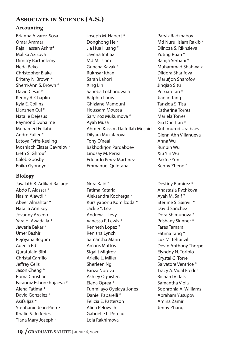# **ASSOCIATE IN SCIENCE (A.S.)**

# **Accounting**

Brianna Alvarez-Sosa Omar Ammar Raja Hassan Ashraf Malika Azizova Dimitry Barthelemy Neda Beko Christopher Blake Briteny N. Brown \* Sherri-Ann S. Brown \* David Cesar \* Kenny R. Chaplin Kyla E. Collins Lianzhen Cui \* Natalie Dejesus Raymond Duhaime Mohamed Fellahi Andre Fuller \* Latoya Fyffe-Keeling Moshiach Elazar Gavrelov \* Lieth S. Ghrouf Caleb Goosby Eniko Gyongyosi

# **Biology**

Jayalath B. Adikari Rallage Abdo F. Alassar \* Nasim Alawdi \* Abeer Almahtar \* Natalia Annikey Jovanny Arceno Yara H. Awadalla \* Jaweria Bakar \* Umer Bashir Rejoyana Begum Aqeela Bibi Quratulain Bibi Christal Carrillo Jeffrey Celis Jason Cheng \* Roma Christian Farangiz Eshonkhujaeva \* Alena Fatima \* David Gonzalez \* Asifa Ijaz \* Stephanie Jean-Pierre Khalin S. Jefferies Tiana Mary Joseph \*

Joseph M. Habert \* Donghong He \* Jia Hua Huang \* Javeria Imtiaz Md M. Islam Guncha Kavak \* Rukhsar Khan Sarah Lahori Xing Lin Saheba Lokhandwala Ralphio Louis Ghizlane Mamouni Houssam Moussa Sarvinoz Mukumova \* Ayah Musa Ahmed Kassim Daifullah Musaid Dilyara Muzafarova Tony O'neal Bakhodirjon Pardaboev Lindsay M. Perez Eduardo Perez Martinez Emmanuel Quintana

Nora Kaid \* Fatima Kataria Aleksandra Kocherga \* Kursiyabonu Komilzoda \* Jackie Y. Lee Andrew J. Levy Vanessa P. Lewis \* Kenneth Lopez \* Kenisha Lynch Samantha Marin Amaris Mattos Sigalit Migirov Arielle L. Miller Sherleen Ng Fariza Norova Ashley Oguisten Elena Oprea \* Funmilayo Oyelaya-Jones Daniel Paparelli \* Felicia E. Patterson Alina Pelovych Gabrielle L. Poteau Lola Rakhimova

Parviz Radzhabov Md Nurul Islam Rakib \* Dilnoza S. Rikhsieva Yuting Ruan \* Bahija Serhani \* Muhammad Shahwaiz Dildora Sharifova Marufion Sharofov Jinqiao Situ Peixian Tan \* Jianlin Tang Tanzida S. Tisa Katherine Torres Mariela Torres Gia Duc Tran \* Kutlimurod Uralbaev Glenn Ahn Villanueva Anna Wu Runbin Wu Xiu Yin Wu Pakfee Yun Kenny Zheng \*

Destiny Ramirez \* Anastasia Rychkova Ayah M. Saif \* Sterline S. Sainvil \* David Sanchez Dora Shimunova \* Prishany Skinner \* Fares Tamara Fatima Tariq \* Luz M. Tehuitzil Devin Anthony Thorpe Elynddy N. Toribio Crystal G. Torre Salvatore Ventrice \* Tracy A. Vidal Fredes Richard Vidals Samantha Viola Sophronia A. Williams Abraham Yusupov Amina Zamir Jenny Zhang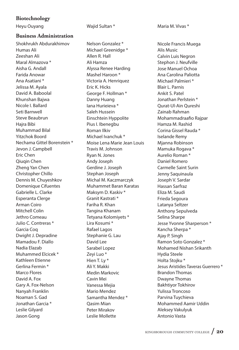## **Biotechnology**

## **Business Administration**

Shokhrukh Abdurakhimov Humas Ali Zeeshan Ali Maral Almazova \* Aisha G. Andall Farida Anowar Ana Asatiani \* Jelissa M. Ayala David A. Baboolal Khunshan Bajwa Nicole I. Ballard Seti Barnwell Steve Beaubrun Hajra Bibi Muhammad Bilal Yitzchok Boord Nechama Gittel Borenstein \* Jevon J. Campbell Eric Chen Qiuqin Chen Zheng Yan Chen Christopher Chillo Dennis M. Chuyeshkov Domenique Cifuentes Gabrielle L. Clarke Esperanta Clerge Arman Coiro Mitchell Colin Jethro Comeau Julio C. Contreras \* Garcia Coq Dwight J. Depradine Mamadou F. Diallo Nadia Elazab Muhammed Elcicek \* Kathleen Etienne Gerlina Fermin \* Marco Flores David A. Fox Gary A. Fox-Nelson Nanyah Franklin Noaman S. Gad Jonathan Garcia \* Leslie Gilyard Jason Gong

Nelson Gonzalez \* Michael Greenidge \* Allen R. Hall Ali Hamza Alyssa Renee Harding Mashel Haroon \* Victoria A. Henriquez Eric K. Hicks George F. Hollman \* Danny Huang Iana Hurieieva \* Saleh Hussein Einschtein Hyppolite Pius I. Ibenegbu Roman Ilkiv Michael Ivanchuk \* Moise Lena Marie Jean Louis Travis M. Johnson Ryan N. Jones Andy Joseph Gerdine J. Joseph Stephan Joseph Michal M. Kaczmarczyk Muhammet Baran Karatas Maksym D. Kaskiv \* Granit Kastrati \* Fariha R. Khan Tangina Khanam Tetyana Kolomiyets \* Lira Kosumi \* Rafael Lagos Stephanie G. Lau David Lee Sarabel Lopez Zeyi Luo \* Hien T. Ly \* Ali Y. Makki Medin Markovic Cavin Mei Vanessa Mejia Mario Mendez Samantha Mendez \* Qasim Mian Peter Mirakov Leslie Mollette

Heyu Ouyang Nation Sultan \* Maria M. Vivas \* Maria M. Vivas \*

Nicole Francis Muega Alis Music Calvin Luis Negron Stephon J. Neufville Jose Manuel Ochoa Ana Carolina Paliotta Michael Palmieri \* Blair L. Parnis Ankit S. Patel Jonathan Perlstein \* Qurat-Ul-Ain Qureshi Zainab Rahman Mohammadraafio Rajpar Hamza M. Rashid Corina Gissel Rauda \* Iselande Remy Mjanna Robinson Mamuka Rogava \* Aurelio Roman \* Daniel Romero Carmelle Saint Surin Jenny Saquinaula Joseph V. Sardar Hassan Sarfraz Eliza M. Saudi Frieda Segoura Latanya Seltzer Anthony Sepulveda Selina Sharpe Jesse Yvonne Sharperson \* Kancha Sherpa \* Ajay P. Singh Ramon Soto Gonzalez \* Mohamed Nishan Srikanth Hydia Steele Holta Stojku \* Jesus Aristides Taveras Guerrero \* Brandon Thomas Dwayne Thomas Bakhtiyor Tokhirov Yulissa Troncoso Parvina Tuychieva Mohammed Aamir Uddin Aleksey Vakulyuk Antonio Vasta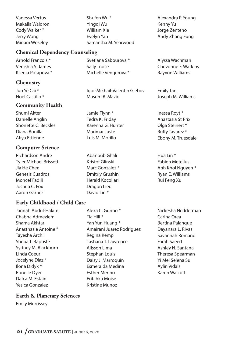Vanessa Vertus Makaila Waldron Cody Walker \* Jerry Wong Miriam Woseley

# **Chemical Dependency Counseling**

Arnold Francois \* Venishia S. James Ksenia Potapova \*

# **Chemistry**

Jun Ye Cai \* Noel Castillo \*

## **Community Health**

Shumi Akter Danielle Anglin Shonette C. Beckles Diana Bonilla Afiya Ettienne

# **Computer Science**

Richardson Andre Tyler Michael Brissett Jia He Chen Genesis Cuadros Moncef Fadili Joshua C. Fox Aaron Garber

# **Early Childhood / Child Care**

Jannah Abdul-Hakim Chabha Admeziem Shama Akhtar Anasthasie Antoine \* Tayesha Archil Sheba T. Baptiste Sydney M. Blackburn Linda Coeur Jocelyne Diaz \* Ilona Didyk \* Ronelle Dyer Dafca M. Estain Yesica Gonzalez

# **Earth & Planetary Sciences**

Emily Morrissey

Tia Hill \* Yan Yun Huang \* Amairani Juarez Rodriguez Regina Kemp Tashana T. Lawrence Alisson Lima Stephan Louis Daisy J. Marroquin Esmeralda Medina Esther Merino Eritchka Moise Kristine Munoz

Alyssa Wachman Chevonne F. Watkins Rayvon Williams

Emily Tan Joseph M. Williams

Inessa Royt \* Anastasia St Prix Olga Steinert \* Ruffy Tavarez \* Ebony M. Truesdale

Hua Lin \* Fabien Metellus Anh Khoi Nguyen \* Ryan E. Williams Rui Feng Xu

Nickesha Nedderman Carina Orea Bertina Palanque Dayanara L. Rivas Savannah Romano Farah Saeed Ashley N. Santana Theresa Spearman Yi Mei Selena Su Aylin Vidals Karen Walcott

Shufen Wu \* Yingqi Wu William Xie Evelyn Yan Samantha M. Yearwood

Svetlana Sabourova \*

Michelle Vengerova \*

Masum B. Mazid

Jamie Flynn \* Tedra K. Friday Karenna G. Hunter Marimar Juste Luis M. Morillo

Abanoub Ghali Kristof Glinski Marc Gonzalez \* Dmitriy Grushin Herald Kocollari Dragon Lieu David Lin \*

Alexa C. Gurino \*

Igor-Mikhail-Valentin Glebov

Sally Troise

Kenny Yu Jorge Zenteno Andy Zhang Fung

Alexandra P. Young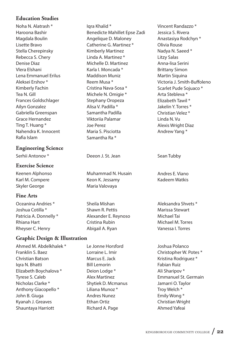## **Education Studies**

Noha N. Alatrash \* Haroona Bashir Magdala Boulin Lisette Bravo Stella Cherepinsky Rebecca S. Chery Denise Diaz Vlera Elshani Lena Emmanuel Erilus Aleksei Ershov \* Kimberly Fachin Tea N. Gill Frances Goldschlager Ailyn Gonzalez Gabriella Greenspan Grace Hernandez Ting T. Huang \* Nahendra K. Innocent Rafia Islam

## **Engineering Science**

Serhii Antonov \* The Beeon J. St. Jean Sean Tubby

## **Exercise Science**

Keenen Alphonso Karl M. Compere Skyler George

## **Fine Arts**

Oceanina Andries \* Joshua Cotilla \* Patricia A. Donnelly \* Rhiana Hart Rheyser C. Henry

## **Graphic Design & Illustration**

Ahmed M. Abdelkhalek \* Franklin S. Baez Christian Batson Iqra N. Bhatti Elizabeth Boychalova \* Tyrese S. Caleb Nicholas Clarke \* Anthony Giacopello \* John B. Giuga Kyanah J. Greaves Shauntaya Harriott

Iqra Khalid \* Benedicte Mahillet Epse Zadi Angelique D. Maloney Catherine G. Martinez \* Kimberly Martinez Linda A. Martinez \* Michelle D. Martinez Karla I. Moncada \* Maddison Muniz Reem Musa \* Cristina Nava-Sosa \* Michele N. Omigie \* Stephany Oropeza Alisa V. Padilla \* Samantha Padilla Viktoriia Palamar Joe Perez Maria S. Pisciotta Samantha Ra \*

Muhammad N. Husain Keon K. Jessamy Maria Valovaya

Sheila Mishan Shawn R. Pettis Alexander E. Reynoso Cristina Rubin Abigail A. Ryan

Le Jonne Horsford Lorraine L. Imir Marcus E. Jack Bill Lemorin Deion Lodge \* Alex Martinez Shytiek D. Mcmanus Liliana Munoz \* Andres Nunez Ethan Ortiz Richard A. Page

Vincent Randazzo \* Jessica S. Rivera Anastasiya Rodchyn \* Olivia Rouse Nadya N. Saeed \* Litzy Salas Anna-lisa Serini Brittany Simon Martin Siquina Victoria J. Smith-Buffoleno Scarlet Pude Sojuaco \* Arta Stebleva \* Elizabeth Tawil \* Jakelin Y. Torres \* Christian Velez \* Linda N. Vu Alexis Wright Diaz Andrew Yang \*

Andres E. Viano Kadeem Watkis

Aleksandra Shvets \* Marissa Stewart Michael Tai Michael M. Torres Vanessa I. Torres

Joshua Polanco Christopher W. Potes \* Kristina Rodriguez \* Fabian Ruiz Ali Sharipov \* Emmanuel St. Germain Jamarri O. Taylor Troy Welch \* Emily Wong \* Christian Wright Ahmed Yafeai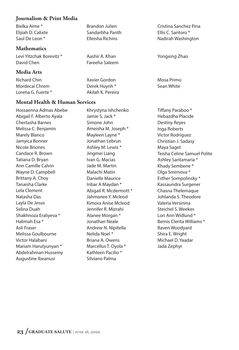## **Journalism & Print Media**

Bielka Aime \* Elijiah D. Calixte Saul De Leon \*

## **Mathematics**

Levi Yitzchak Borevitz \* David Chen

## **Media Arts**

Richard Chin Mordecai Chrem Lorena G. Fuerte \*

## **Mental Health & Human Services**

Hossaenna Admas Abebe Abigail F. Alberto Ayala Chertasha Barnes Melissa C. Benjamin Marely Blanco Jamyica Bonner Nicole Briones Candace R. Brown Tatiana D. Bryan Ann Camille Calvin Wayne D. Campbell Brittany A. Choy Tanaisha Clarke Lela Clement Natasha Das Layla De Jesus Selina Duah Shakhnoza Eraliyeva \* Halimah Esa \* Asli Fraser Melissa Goulbourne Victor Halabani Mariam Harutyunyan \* Abdelrahman Husseiny Augustine Ibeanusi

Brandon Julien Sandarbha Panth Elleisha Richins

Aashir A. Khan Fareeha Saleem

Xavier Gordon Derek Huynh \* Akilah K. Pereira

Khrystyna Ishchenko Jamie S. Jack \* Simone John Ameisha M. Joseph \* Mayleen Layne \* Jonathan Lebrun Ashley M. Lewis \* Jingmei Liang Ivan G. Macias Jade M. Martin Malachi Matin Danielle Maurice Inbar A Maydan \* Abigail R. Mcdermott \* Jahmanee Y. Mcleod Kimora Anise Mcleod Jennifer R. Mizrahi Alanee Morgan \* Jonathan Neale Andrew N. Nipitella Nelida Noel \* Briana A. Owens Marcellus T. Oyola \* Kathleen Pacilio \* Silviano Palma

Cristina Sanchez Pina Ellis C. Santoro \* Nadirah Washington

Yongxing Zhao

Mosa Primo Sean White

Tiffany Paraboo\* Hebazdha Placide Destiny Reyes Inga Roberts Victor Rodriguez Christian J. Sadasy Maya Saget Teisha Celine Samuel Polite Ashley Santamaria \* Khady Sembene \* Olga Smirnova \* Esther Sompolinsky \* Kassaundra Surgener Chasna Thelemaque Johlanda S. Theodore Valeria Versinina Steichel S. Weekes Lori Ann Widlund \* Bernis Clerita Williams \* Raven Woodyard Shira E. Wright Michael D. Yaadar Jada Zephyr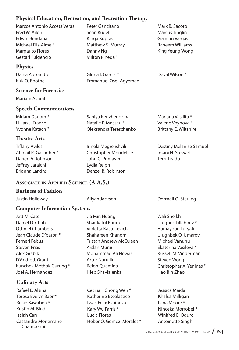## **Physical Education, Recreation, and Recreation Therapy**

| Marcos Antonio Acosta Veras |
|-----------------------------|
| Fred W. Ailon               |
| Edwin Bendana               |
| Michael Fils-Aime *         |
| <b>Margarito Flores</b>     |
| Gestarl Fulgencio           |

## **Physics**

Daina Alexandre Kirk O. Boothe

## **Science for Forensics**

Mariam Ashraf

## **Speech Communications**

Miriam Dauom \* Lillian J. Franco Yvonne Katach \*

## **Theatre Arts**

**Tiffany Aviles** Abigail R. Gallagher \* Darien A. Johnson Jeffrey Laraichi Brianna Larkins

Peter Gancitano Sean Kudel Kinga Kupras Matthew S. Murray Danny Ng Milton Pineda \*

Gloria I. Garcia \* Emmanuel Osei-Agyeman Mark B. Sacoto Marcus Tinglin German Vargas Raheem Williams King Yeung Wong

Deval Wilson \*

| Saniya Kenzhegozina    |  |
|------------------------|--|
| Natalie P. Mosseri *   |  |
| Oleksandra Tereschenko |  |

Irinola Megrelishvili Christopher Mondelice John C. Primavera Lydia Reiph Denzel B. Robinson

Mariana Vasilita \* Valerie Voynova \* Brittany E. Wiltshire

Destiny Melanise Samuel Imani H. Stewart Terri Tirado

## **ASSOCIATE IN APPLIED SCIENCE (A.A.S.)**

### **Business of Fashion**

Justin Holloway Aliyah Jackson Dorrnell O. Sterling

## **Computer Information Systems**

Jett M. Cato Daniel D. Chabi Othniel Chambers Jean Claude D'baron \* Ferneri Febus Steven Frias Alex Grabik D'Andre J. Grant Kunchok Methok Gurung \* Joel A. Hernandez

# **Culinary Arts**

Rafael E. Alsina Teresa Evelyn Baer \* Rosie Bawabeh \* Kristin M. Binda Isaiah Carr Cassandre Montimaire Champenoit

Jia Min Huang Shaukatul Karim Violetta Kastukevich Shahareen Khanom Tristan Andrew McQueen Arslan Munir Mohammad Ali Newaz Artur Nurullin Reion Quamina Hleb Shavialenka

Cecilia I. Chong Wen \* Katherine Escolastico Issac Felix Espinoza Kary Wu Farris \* Lucia Flores Heber O. Gomez Morales \*

Wali Sheikh Ulugbek Tillaboev \* Hamayoon Turyali Ulughbek O. Umarov Michael Vanunu Ekaterina Vasileva \* Russell M. Vinderman Steven Wong Christopher A. Yeninas \* Hao Bin Zhao

Jessica Maida Khalea Milligan Lana Moore \* Ninoska Morrobel \* Winifred E. Oduro Antoinette Singh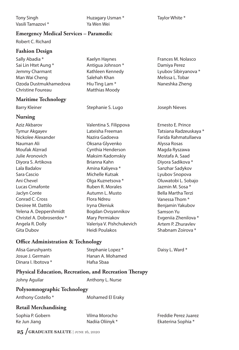Tony Singh Vasili Tamazovi \* Huzagary Usman \* Ya Wen Wei

# **Emergency Medical Services – Paramedic**

Robert C. Richard

## **Fashion Design**

Sally Abadia \* Sai Lin Htet Aung \* Jemmy Charmant Man Wai Cheng Ozoda Dustmukhamedova Christine Foureau

## **Maritime Technology**

## **Nursing**

Aziz Akbarov Tymur Akgayev Nickolee Alexander Nauman Ali Moufak Alzrrad Julie Aronovich Diyora S. Artikova Lala Badalov Sara Cascio Ani Chevel Lucas Cimafonte Jaclyn Conte Conrad C. Cross Desiree M. Dattilo Yelena A. Deppershmidt Christel A. Dobroserdov \* Angela R. Dolly Gita Dubov

## Kaelyn Haynes Antigua Johnson \* Kathleen Kennedy Salehah Khan Hiu Ting Lam \* Matthias Moody

Barry Kleiner **Stephanie S. Lugo** Joseph Nieves

Valentina S. Filippova Lateisha Freeman Nazira Gadoeva Oksana Glyvenko Cynthia Henderson Maksim Kadomskiy Brianna Kahn Amina Kaliyeva \* Michelle Kutsak Olga Kuznetsova \* Ruben R. Morales Autumn L. Musto Flora Ndreu Iryna Oleniuk Bogdan Ovsyannikov Mary Permiakov Valeriya V. Pishchukevich Heidi Poulakos

### Taylor White \*

Damiya Perez Lyubov Sibiryanova \* Melissa L. Tobar Naneshka Zheng

Frances M. Nolasco

Ernesto E. Prince Tatsiana Radzeuskaya \* Farida Rahmatullaeva Alyssa Rosas Magda Ryszawa Mostafa A. Saad Diyora Sadikova \* Sanzhar Sadykov Lyubov Snopova Oluwatobi L. Sobajo Jazmin M. Sosa \* Bella Martha Terzi Vanessa Thom \* Benjamin Yakubov Samson Yu Evgeniia Zhenilova \* Artem P. Zhuravlev Shabnam Zoirova \*

## **O\$ce Administration & Technology**

| Alisa Garushyants   | Stephanie Lopez * | Daisy L. Ward * |
|---------------------|-------------------|-----------------|
| Josue J. Germain    | Hanan A. Mohamed  |                 |
| Dinara I. Ibotova * | Hafsa Sbaa        |                 |

## **Physical Education, Recreation, and Recreation Therapy**

Anthony L. Nurse

### **Polysomnographic Technology**

Anthony Costello \* Mohamed El Eraky

## **Retail Merchandising**

| Sophia P. Gobern |  |
|------------------|--|
| Ke Jun Jiang     |  |

Vilma Morocho Nadiia Oliinyk \*

Freddie Perez Juarez Ekaterina Sophia \*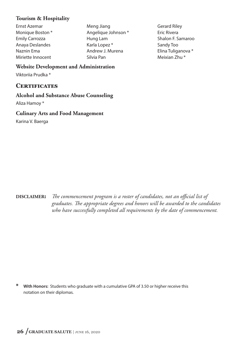## **Tourism & Hospitality**

- Ernst Azemar Monique Boston \* Emily Carrozza Anaya Deslandes Naznin Ema Miriette Innocent
- Meng Jiang Angelique Johnson \* Hung Lam Karla Lopez \* Andrew J. Murena Silvia Pan
- Gerard Riley Eric Rivera Shalon F. Samaroo Sandy Too Elina Tuliganova \* Meixian Zhu \*

**Website Development and Administration** Viktoriia Prudka \*

# **CERTIFICATES**

**Alcohol and Substance Abuse Counseling**

Aliza Hamoy \*

### **Culinary Arts and Food Management**

Karina V. Baerga

**DISCLAIMER:** *!e commencement program is a roster of candidates, not an o"cial list of graduates. !e appropriate degrees and honors will be awarded to the candidates who have successfully completed all requirements by the date of commencement.*

**\* With Honors:** Students who graduate with a cumulative GPA of 3.50 or higher receive this notation on their diplomas.